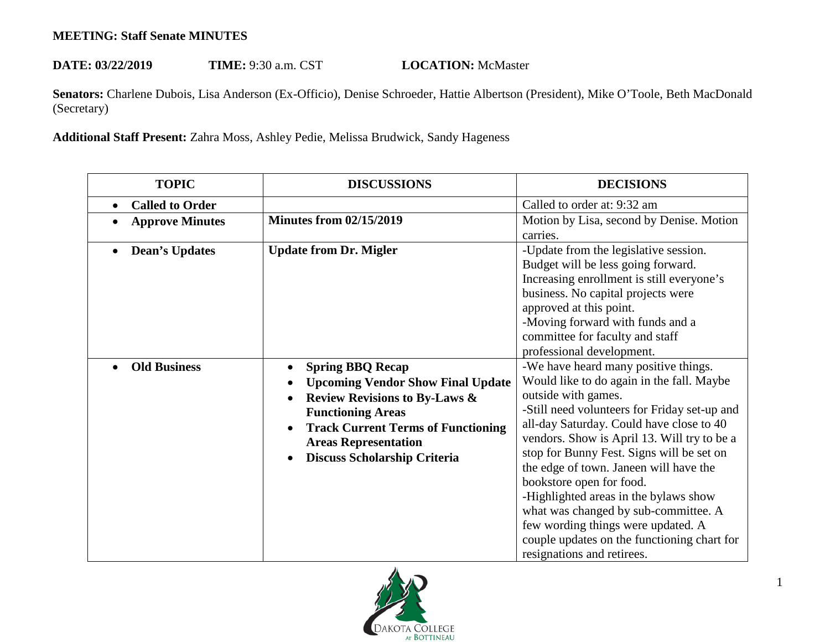## **MEETING: Staff Senate MINUTES**

## **DATE: 03/22/2019 TIME:** 9:30 a.m. CST **LOCATION:** McMaster

**Senators:** Charlene Dubois, Lisa Anderson (Ex-Officio), Denise Schroeder, Hattie Albertson (President), Mike O'Toole, Beth MacDonald (Secretary)

**Additional Staff Present:** Zahra Moss, Ashley Pedie, Melissa Brudwick, Sandy Hageness

| <b>TOPIC</b>                        | <b>DISCUSSIONS</b>                                                                                                                                                                                                                                                                | <b>DECISIONS</b>                                                                                                                                                                                                                                                                                                                                                                                                                                                                                                                                                           |
|-------------------------------------|-----------------------------------------------------------------------------------------------------------------------------------------------------------------------------------------------------------------------------------------------------------------------------------|----------------------------------------------------------------------------------------------------------------------------------------------------------------------------------------------------------------------------------------------------------------------------------------------------------------------------------------------------------------------------------------------------------------------------------------------------------------------------------------------------------------------------------------------------------------------------|
| <b>Called to Order</b><br>$\bullet$ |                                                                                                                                                                                                                                                                                   | Called to order at: 9:32 am                                                                                                                                                                                                                                                                                                                                                                                                                                                                                                                                                |
| <b>Approve Minutes</b>              | <b>Minutes from 02/15/2019</b>                                                                                                                                                                                                                                                    | Motion by Lisa, second by Denise. Motion<br>carries.                                                                                                                                                                                                                                                                                                                                                                                                                                                                                                                       |
| <b>Dean's Updates</b>               | <b>Update from Dr. Migler</b>                                                                                                                                                                                                                                                     | -Update from the legislative session.<br>Budget will be less going forward.<br>Increasing enrollment is still everyone's<br>business. No capital projects were<br>approved at this point.<br>-Moving forward with funds and a<br>committee for faculty and staff<br>professional development.                                                                                                                                                                                                                                                                              |
| <b>Old Business</b>                 | <b>Spring BBQ Recap</b><br>$\bullet$<br><b>Upcoming Vendor Show Final Update</b><br>$\bullet$<br><b>Review Revisions to By-Laws &amp;</b><br><b>Functioning Areas</b><br><b>Track Current Terms of Functioning</b><br><b>Areas Representation</b><br>Discuss Scholarship Criteria | -We have heard many positive things.<br>Would like to do again in the fall. Maybe<br>outside with games.<br>-Still need volunteers for Friday set-up and<br>all-day Saturday. Could have close to 40<br>vendors. Show is April 13. Will try to be a<br>stop for Bunny Fest. Signs will be set on<br>the edge of town. Janeen will have the<br>bookstore open for food.<br>-Highlighted areas in the bylaws show<br>what was changed by sub-committee. A<br>few wording things were updated. A<br>couple updates on the functioning chart for<br>resignations and retirees. |